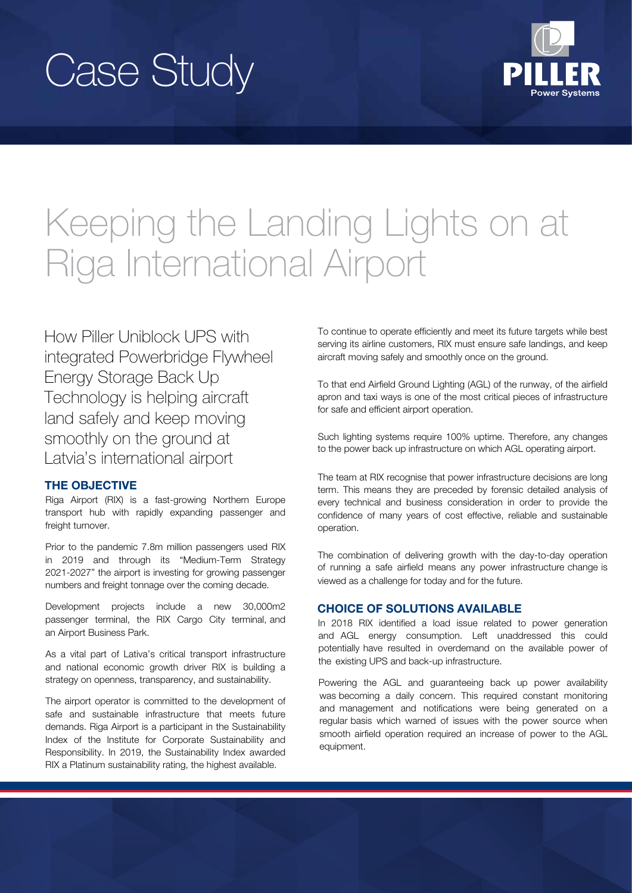# Case Study



# Keeping the Landing Lights on at Riga International Airport

How Piller Uniblock UPS with integrated Powerbridge Flywheel Energy Storage Back Up Technology is helping aircraft land safely and keep moving smoothly on the ground at Latvia's international airport

# THE OBJECTIVE

Riga Airport (RIX) is a fast-growing Northern Europe transport hub with rapidly expanding passenger and freight turnover.

Prior to the pandemic 7.8m million passengers used RIX in 2019 and through its "Medium-Term Strategy 2021-2027" the airport is investing for growing passenger numbers and freight tonnage over the coming decade.

Development projects include a new 30,000m2 passenger terminal, the RIX Cargo City terminal, and an Airport Business Park.

As a vital part of Lativa's critical transport infrastructure and national economic growth driver RIX is building a strategy on openness, transparency, and sustainability.

The airport operator is committed to the development of safe and sustainable infrastructure that meets future demands. Riga Airport is a participant in the Sustainability Index of the Institute for Corporate Sustainability and Responsibility. In 2019, the Sustainability Index awarded RIX a Platinum sustainability rating, the highest available.

To continue to operate efficiently and meet its future targets while best serving its airline customers, RIX must ensure safe landings, and keep aircraft moving safely and smoothly once on the ground.

To that end Airfield Ground Lighting (AGL) of the runway, of the airfield apron and taxi ways is one of the most critical pieces of infrastructure for safe and efficient airport operation.

Such lighting systems require 100% uptime. Therefore, any changes to the power back up infrastructure on which AGL operating airport.

The team at RIX recognise that power infrastructure decisions are long term. This means they are preceded by forensic detailed analysis of every technical and business consideration in order to provide the confidence of many years of cost effective, reliable and sustainable operation.

The combination of delivering growth with the day-to-day operation of running a safe airfield means any power infrastructure change is viewed as a challenge for today and for the future.

## CHOICE OF SOLUTIONS AVAILABLE

In 2018 RIX identified a load issue related to power generation and AGL energy consumption. Left unaddressed this could potentially have resulted in overdemand on the available power of the existing UPS and back-up infrastructure.

Powering the AGL and guaranteeing back up power availability was becoming a daily concern. This required constant monitoring and management and notifications were being generated on a regular basis which warned of issues with the power source when smooth airfield operation required an increase of power to the AGL equipment.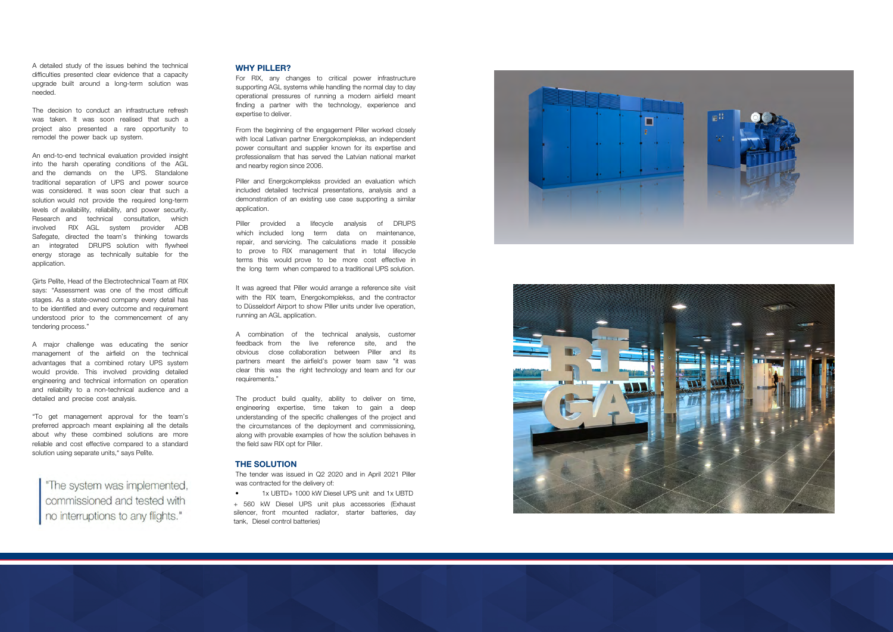#### WHY PILLER?

For RIX, any changes to critical power infrastructure supporting AGL systems while handling the normal day to day operational pressures of running a modern airfield meant finding a partner with the technology, experience and expertise to deliver.

From the beginning of the engagement Piller worked closely with local Lativan partner Energokomplekss, an independent power consultant and supplier known for its expertise and professionalism that has served the Latvian national market and nearby region since 2006.

It was agreed that Piller would arrange a reference site visit with the RIX team, Energokomplekss, and the contractor to Düsseldorf Airport to show Piller units under live operation, running an AGL application.

Piller and Energokomplekss provided an evaluation which included detailed technical presentations, analysis and a demonstration of an existing use case supporting a similar application.

Piller provided a lifecycle analysis of DRUPS which included long term data on maintenance, repair, and servicing. The calculations made it possible to prove to RIX management that in total lifecycle terms this would prove to be more cost effective in the long term when compared to a traditional UPS solution.

The tender was issued in Q2 2020 and in April 2021 Piller was contracted for the delivery of:

A combination of the technical analysis, customer feedback from the live reference site, and the obvious close collaboration between Piller and its partners meant the airfield's power team saw "it was clear this was the right technology and team and for our requirements."

The product build quality, ability to deliver on time, engineering expertise, time taken to gain a deep understanding of the specific challenges of the project and the circumstances of the deployment and commissioning, along with provable examples of how the solution behaves in the field saw RIX opt for Piller.

"To get management approval for the team's preferred approach meant explaining all the details about why these combined solutions are more reliable and cost effective compared to a standard solution using separate units, " says Pelite.

"The system was implemented, commissioned and tested with no interruptions to any flights."

#### THE SOLUTION

• 1x UBTD+ 1000 kW Diesel UPS unit and 1x UBTD + 560 kW Diesel UPS unit plus accessories (Exhaust silencer, front mounted radiator, starter batteries, day tank, Diesel control batteries)





A detailed study of the issues behind the technical difficulties presented clear evidence that a capacity upgrade built around a long-term solution was needed.

The decision to conduct an infrastructure refresh was taken. It was soon realised that such a project also presented a rare opportunity to remodel the power back up system.

An end-to-end technical evaluation provided insight into the harsh operating conditions of the AGL and the demands on the UPS. Standalone traditional separation of UPS and power source was considered. It was soon clear that such a solution would not provide the required long-term levels of availability, reliability, and power security. Research and technical consultation, which involved RIX AGL system provider ADB Safegate, directed the team's thinking towards an integrated DRUPS solution with flywheel energy storage as technically suitable for the application.

Ģirts Pelīte, Head of the Electrotechnical Team at RIX says: "Assessment was one of the most difficult stages. As a state-owned company every detail has to be identified and every outcome and requirement understood prior to the commencement of any tendering process."

A major challenge was educating the senior management of the airfield on the technical advantages that a combined rotary UPS system would provide. This involved providing detailed engineering and technical information on operation and reliability to a non-technical audience and a detailed and precise cost analysis.